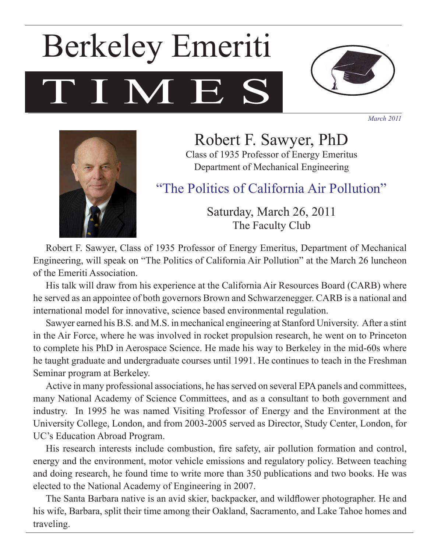# TIME, Berkeley Emeriti



*March 2011*



Robert F. Sawyer, PhD Class of 1935 Professor of Energy Emeritus Department of Mechanical Engineering

"The Politics of California Air Pollution"

Saturday, March 26, 2011 The Faculty Club

Robert F. Sawyer, Class of 1935 Professor of Energy Emeritus, Department of Mechanical Engineering, will speak on "The Politics of California Air Pollution" at the March 26 luncheon of the Emeriti Association.

His talk will draw from his experience at the California Air Resources Board (CARB) where he served as an appointee of both governors Brown and Schwarzenegger. CARB is a national and international model for innovative, science based environmental regulation.

Sawyer earned his B.S. and M.S. in mechanical engineering at Stanford University. After a stint in the Air Force, where he was involved in rocket propulsion research, he went on to Princeton to complete his PhD in Aerospace Science. He made his way to Berkeley in the mid-60s where he taught graduate and undergraduate courses until 1991. He continues to teach in the Freshman Seminar program at Berkeley.

Active in many professional associations, he has served on several EPA panels and committees, many National Academy of Science Committees, and as a consultant to both government and industry. In 1995 he was named Visiting Professor of Energy and the Environment at the University College, London, and from 2003-2005 served as Director, Study Center, London, for UC's Education Abroad Program.

His research interests include combustion, fire safety, air pollution formation and control, energy and the environment, motor vehicle emissions and regulatory policy. Between teaching and doing research, he found time to write more than 350 publications and two books. He was elected to the National Academy of Engineering in 2007.

The Santa Barbara native is an avid skier, backpacker, and wildflower photographer. He and his wife, Barbara, split their time among their Oakland, Sacramento, and Lake Tahoe homes and traveling.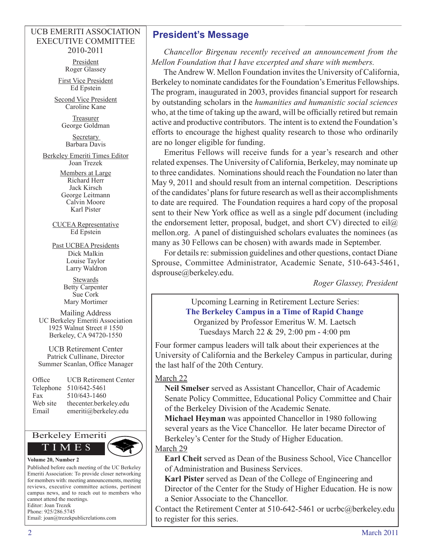#### UCB EMERITI ASSOCIATION EXECUTIVE COMMITTEE 2010-2011

President Roger Glassey

First Vice President Ed Epstein

Second Vice President Caroline Kane

> **Treasurer** George Goldman

**Secretary** Barbara Davis

Berkeley Emeriti Times Editor Joan Trezek

> Members at Large Richard Herr Jack Kirsch George Leitmann Calvin Moore Karl Pister

CUCEA Representative Ed Epstein

Past UCBEA Presidents Dick Malkin Louise Taylor Larry Waldron

> **Stewards** Betty Carpenter Sue Cork Mary Mortimer

Mailing Address UC Berkeley Emeriti Association 1925 Walnut Street # 1550 Berkeley, CA 94720-1550

UCB Retirement Center Patrick Cullinane, Director Summer Scanlan, Office Manager

| Office    | <b>UCB Retirement Center</b> |
|-----------|------------------------------|
| Telephone | 510/642-5461                 |
| Fax       | 510/643-1460                 |
| Web site  | thecenter.berkeley.edu       |
| Email     | emeriti@berkeley.edu         |



Published before each meeting of the UC Berkeley Emeriti Association: To provide closer networking for members with: meeting announcements, meeting reviews, executive committee actions, pertinent campus news, and to reach out to members who cannot attend the meetings. Editor: Joan Trezek

Phone: 925/286.5745 Email: joan@trezekpublicrelations.com

## **President's Message**

*Chancellor Birgenau recently received an announcement from the Mellon Foundation that I have excerpted and share with members.*

The Andrew W. Mellon Foundation invites the University of California, Berkeley to nominate candidates for the Foundation's Emeritus Fellowships. The program, inaugurated in 2003, provides financial support for research by outstanding scholars in the *humanities and humanistic social sciences*  who, at the time of taking up the award, will be officially retired but remain active and productive contributors. The intent is to extend the Foundation's efforts to encourage the highest quality research to those who ordinarily are no longer eligible for funding.

Emeritus Fellows will receive funds for a year's research and other related expenses. The University of California, Berkeley, may nominate up to three candidates. Nominations should reach the Foundation no later than May 9, 2011 and should result from an internal competition. Descriptions of the candidates' plans for future research as well as their accomplishments to date are required. The Foundation requires a hard copy of the proposal sent to their New York office as well as a single pdf document (including the endorsement letter, proposal, budget, and short CV) directed to eil $\omega$ mellon.org. A panel of distinguished scholars evaluates the nominees (as many as 30 Fellows can be chosen) with awards made in September.

For details re: submission guidelines and other questions, contact Diane Sprouse, Committee Administrator, Academic Senate, 510-643-5461, dsprouse@berkeley.edu.

*Roger Glassey, President*

#### Upcoming Learning in Retirement Lecture Series: **The Berkeley Campus in a Time of Rapid Change** Organized by Professor Emeritus W. M. Laetsch

Tuesdays March 22 & 29, 2:00 pm - 4:00 pm

Four former campus leaders will talk about their experiences at the University of California and the Berkeley Campus in particular, during the last half of the 20th Century.

#### March 22

**Neil Smelser** served as Assistant Chancellor, Chair of Academic Senate Policy Committee, Educational Policy Committee and Chair of the Berkeley Division of the Academic Senate.

**Michael Heyman** was appointed Chancellor in 1980 following several years as the Vice Chancellor. He later became Director of Berkeley's Center for the Study of Higher Education.

#### March 29

**Earl Cheit** served as Dean of the Business School, Vice Chancellor of Administration and Business Services.

**Karl Pister** served as Dean of the College of Engineering and Director of the Center for the Study of Higher Education. He is now a Senior Associate to the Chancellor.

Contact the Retirement Center at 510-642-5461 or ucrbc@berkeley.edu to register for this series.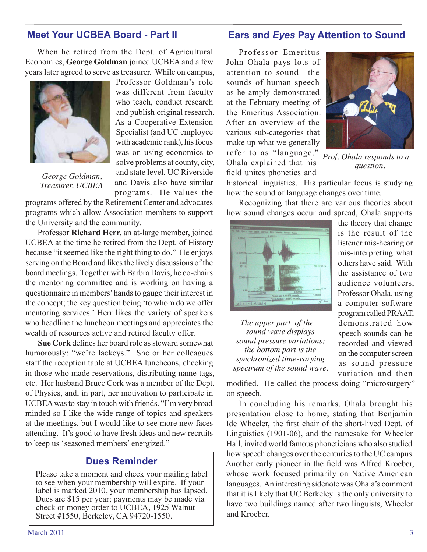## **Meet Your UCBEA Board - Part II**

When he retired from the Dept. of Agricultural Economics, **George Goldman** joined UCBEA and a few years later agreed to serve as treasurer. While on campus,



*George Goldman, Treasurer, UCBEA*

Professor Goldman's role was different from faculty who teach, conduct research and publish original research. As a Cooperative Extension Specialist (and UC employee with academic rank), his focus was on using economics to solve problems at county, city, and state level. UC Riverside and Davis also have similar programs. He values the

programs offered by the Retirement Center and advocates programs which allow Association members to support the University and the community.

Professor **Richard Herr,** an at-large member, joined UCBEA at the time he retired from the Dept. of History because "it seemed like the right thing to do." He enjoys serving on the Board and likes the lively discussions of the board meetings. Together with Barbra Davis, he co-chairs the mentoring committee and is working on having a questionnaire in members' hands to gauge their interest in the concept; the key question being 'to whom do we offer mentoring services.' Herr likes the variety of speakers who headline the luncheon meetings and appreciates the wealth of resources active and retired faculty offer.

**Sue Cork** defines her board role as steward somewhat humorously: "we're lackeys." She or her colleagues staff the reception table at UCBEA luncheons, checking in those who made reservations, distributing name tags, etc. Her husband Bruce Cork was a member of the Dept. of Physics, and, in part, her motivation to participate in UCBEA was to stay in touch with friends. "I'm very broadminded so I like the wide range of topics and speakers at the meetings, but I would like to see more new faces attending. It's good to have fresh ideas and new recruits to keep us 'seasoned members' energized."

## **Dues Reminder**

Please take a moment and check your mailing label to see when your membership will expire. If your label is marked 2010, your membership has lapsed. Dues are \$15 per year; payments may be made via check or money order to UCBEA, 1925 Walnut Street #1550, Berkeley, CA 94720-1550.

### **Ears and** *Eyes* **Pay Attention to Sound**

Professor Emeritus John Ohala pays lots of attention to sound—the sounds of human speech as he amply demonstrated at the February meeting of the Emeritus Association. After an overview of the various sub-categories that make up what we generally refer to as "language," Ohala explained that his field unites phonetics and



*Prof. Ohala responds to a question*.

historical linguistics. His particular focus is studying how the sound of language changes over time.

Recognizing that there are various theories about how sound changes occur and spread, Ohala supports



*The upper part of the sound wave displays sound pressure variations; the bottom part is the synchronized time-varying* 

the theory that change is the result of the listener mis-hearing or mis-interpreting what others have said. With the assistance of two audience volunteers, Professor Ohala, using a computer software program called PRAAT, demonstrated how speech sounds can be recorded and viewed on the computer screen as sound pressure variation and then

*spectrum of the sound wave.*

modified. He called the process doing "microsurgery" on speech.

In concluding his remarks, Ohala brought his presentation close to home, stating that Benjamin Ide Wheeler, the first chair of the short-lived Dept. of Linguistics (1901-06), and the namesake for Wheeler Hall, invited world famous phoneticians who also studied how speech changes over the centuries to the UC campus. Another early pioneer in the field was Alfred Kroeber, whose work focused primarily on Native American languages. An interesting sidenote was Ohala's comment that it is likely that UC Berkeley is the only university to have two buildings named after two linguists, Wheeler and Kroeber.